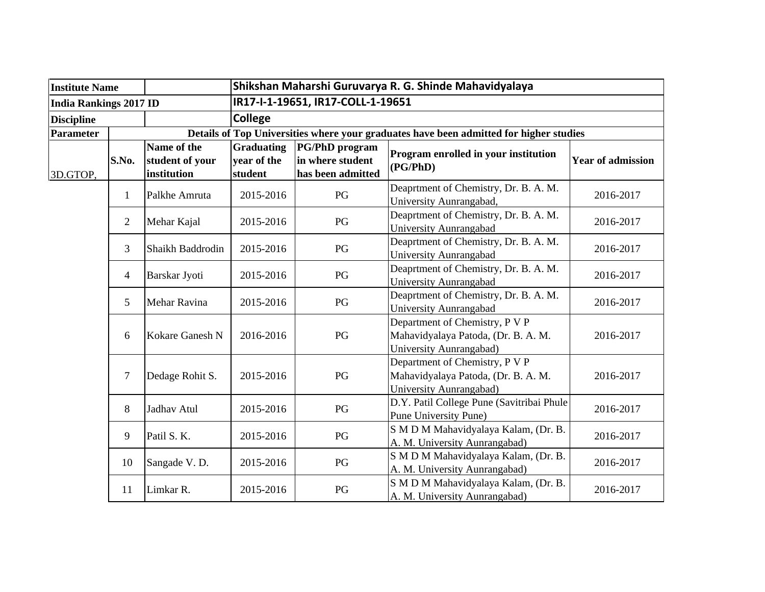| <b>Institute Name</b>         |                |                                               | Shikshan Maharshi Guruvarya R. G. Shinde Mahavidyalaya                                 |                                                                |                                                                                                  |                          |  |  |
|-------------------------------|----------------|-----------------------------------------------|----------------------------------------------------------------------------------------|----------------------------------------------------------------|--------------------------------------------------------------------------------------------------|--------------------------|--|--|
| <b>India Rankings 2017 ID</b> |                |                                               | IR17-I-1-19651, IR17-COLL-1-19651                                                      |                                                                |                                                                                                  |                          |  |  |
| <b>Discipline</b>             |                |                                               | <b>College</b>                                                                         |                                                                |                                                                                                  |                          |  |  |
| Parameter                     |                |                                               | Details of Top Universities where your graduates have been admitted for higher studies |                                                                |                                                                                                  |                          |  |  |
| 3D.GTOP,                      | S.No.          | Name of the<br>student of your<br>institution | <b>Graduating</b><br>year of the<br>student                                            | <b>PG/PhD</b> program<br>in where student<br>has been admitted | Program enrolled in your institution<br>(PG/PhD)                                                 | <b>Year of admission</b> |  |  |
|                               | $\mathbf{1}$   | Palkhe Amruta                                 | 2015-2016                                                                              | PG                                                             | Deaprtment of Chemistry, Dr. B. A. M.<br>University Aunrangabad,                                 | 2016-2017                |  |  |
|                               | $\overline{2}$ | Mehar Kajal                                   | 2015-2016                                                                              | PG                                                             | Deaprtment of Chemistry, Dr. B. A. M.<br>University Aunrangabad                                  | 2016-2017                |  |  |
|                               | 3              | Shaikh Baddrodin                              | 2015-2016                                                                              | PG                                                             | Deaprtment of Chemistry, Dr. B. A. M.<br>University Aunrangabad                                  | 2016-2017                |  |  |
|                               | $\overline{4}$ | Barskar Jyoti                                 | 2015-2016                                                                              | PG                                                             | Deaprtment of Chemistry, Dr. B. A. M.<br>University Aunrangabad                                  | 2016-2017                |  |  |
|                               | 5              | Mehar Ravina                                  | 2015-2016                                                                              | $\mathbf{P}\mathbf{G}$                                         | Deaprtment of Chemistry, Dr. B. A. M.<br>University Aunrangabad                                  | 2016-2017                |  |  |
|                               | 6              | Kokare Ganesh N                               | 2016-2016                                                                              | PG                                                             | Department of Chemistry, P V P<br>Mahavidyalaya Patoda, (Dr. B. A. M.<br>University Aunrangabad) | 2016-2017                |  |  |
|                               | $\tau$         | Dedage Rohit S.                               | 2015-2016                                                                              | $\mathbf{P}\mathbf{G}$                                         | Department of Chemistry, P V P<br>Mahavidyalaya Patoda, (Dr. B. A. M.<br>University Aunrangabad) | 2016-2017                |  |  |
|                               | 8              | Jadhav Atul                                   | 2015-2016                                                                              | $\mathbf{P}\mathbf{G}$                                         | D.Y. Patil College Pune (Savitribai Phule<br><b>Pune University Pune)</b>                        | 2016-2017                |  |  |
|                               | 9              | Patil S. K.                                   | 2015-2016                                                                              | PG                                                             | S M D M Mahavidyalaya Kalam, (Dr. B.<br>A. M. University Aunrangabad)                            | 2016-2017                |  |  |
|                               | 10             | Sangade V.D.                                  | 2015-2016                                                                              | PG                                                             | S M D M Mahavidyalaya Kalam, (Dr. B.<br>A. M. University Aunrangabad)                            | 2016-2017                |  |  |
|                               | 11             | Limkar R.                                     | 2015-2016                                                                              | PG                                                             | S M D M Mahavidyalaya Kalam, (Dr. B.<br>A. M. University Aunrangabad)                            | 2016-2017                |  |  |